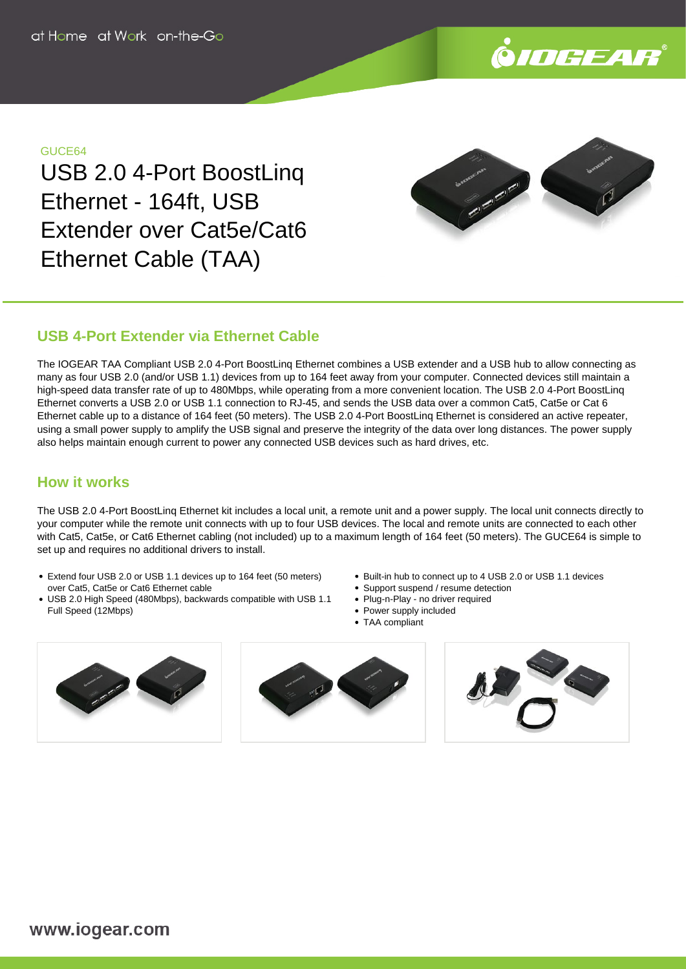

## GUCE64

USB 2.0 4-Port BoostLinq Ethernet - 164ft, USB Extender over Cat5e/Cat6 Ethernet Cable (TAA)



# **USB 4-Port Extender via Ethernet Cable**

The IOGEAR TAA Compliant USB 2.0 4-Port BoostLinq Ethernet combines a USB extender and a USB hub to allow connecting as many as four USB 2.0 (and/or USB 1.1) devices from up to 164 feet away from your computer. Connected devices still maintain a high-speed data transfer rate of up to 480Mbps, while operating from a more convenient location. The USB 2.0 4-Port BoostLing Ethernet converts a USB 2.0 or USB 1.1 connection to RJ-45, and sends the USB data over a common Cat5, Cat5e or Cat 6 Ethernet cable up to a distance of 164 feet (50 meters). The USB 2.0 4-Port BoostLinq Ethernet is considered an active repeater, using a small power supply to amplify the USB signal and preserve the integrity of the data over long distances. The power supply also helps maintain enough current to power any connected USB devices such as hard drives, etc.

# **How it works**

The USB 2.0 4-Port BoostLinq Ethernet kit includes a local unit, a remote unit and a power supply. The local unit connects directly to your computer while the remote unit connects with up to four USB devices. The local and remote units are connected to each other with Cat5, Cat5e, or Cat6 Ethernet cabling (not included) up to a maximum length of 164 feet (50 meters). The GUCE64 is simple to set up and requires no additional drivers to install.

- Extend four USB 2.0 or USB 1.1 devices up to 164 feet (50 meters) over Cat5, Cat5e or Cat6 Ethernet cable
- USB 2.0 High Speed (480Mbps), backwards compatible with USB 1.1 Full Speed (12Mbps)
- Built-in hub to connect up to 4 USB 2.0 or USB 1.1 devices
- Support suspend / resume detection
- Plug-n-Play no driver required
- Power supply included
- TAA compliant





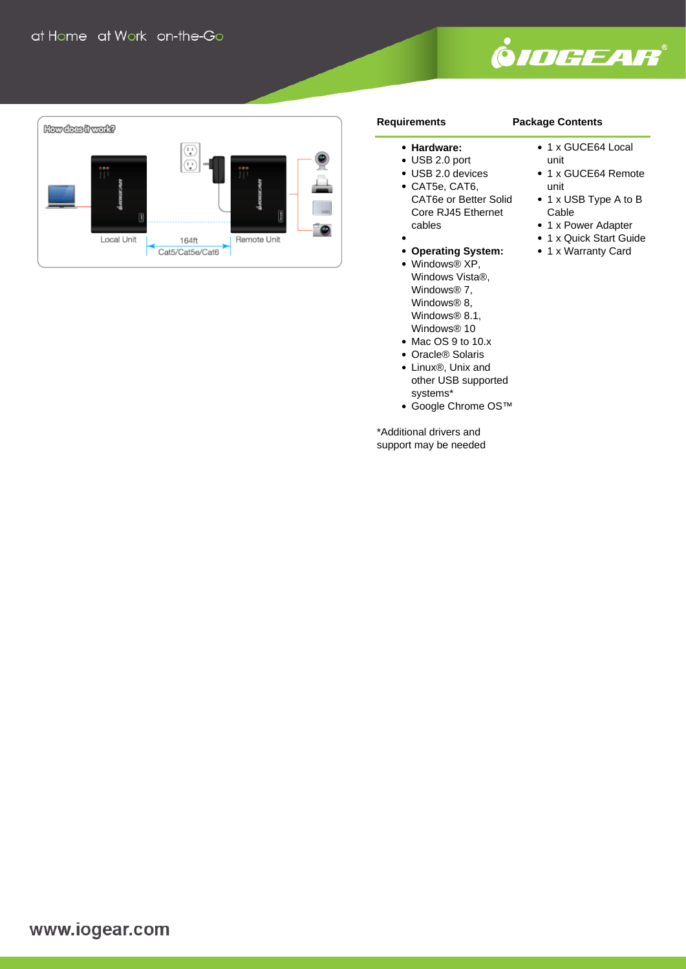



### **Requirements**

# **Package Contents**

- **Hardware:**
- USB 2.0 port
- USB 2.0 devices
- CAT5e, CAT6, CAT6e or Better Solid Core RJ45 Ethernet cables
- **Operating System:**
- Windows® XP, Windows Vista®, Windows® 7, Windows® 8, Windows<sup>®</sup> 8.1, Windows® 10
- Mac OS 9 to 10.x
- Oracle® Solaris
- Linux®, Unix and other USB supported systems\*
- Google Chrome OS™

\*Additional drivers and support may be needed

- 1 x GUCE64 Local
- unit
- 1 x GUCE64 Remote unit
- 1 x USB Type A to B Cable
	- 1 x Power Adapter
	- 1 x Quick Start Guide
	- 1 x Warranty Card